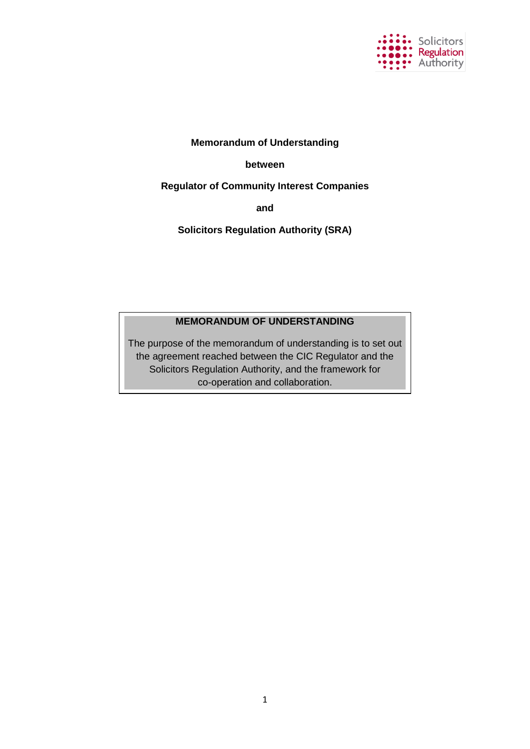

## **Memorandum of Understanding**

## **between**

**Regulator of Community Interest Companies**

**and**

**Solicitors Regulation Authority (SRA)**

## **MEMORANDUM OF UNDERSTANDING**

The purpose of the memorandum of understanding is to set out the agreement reached between the CIC Regulator and the Solicitors Regulation Authority, and the framework for co-operation and collaboration.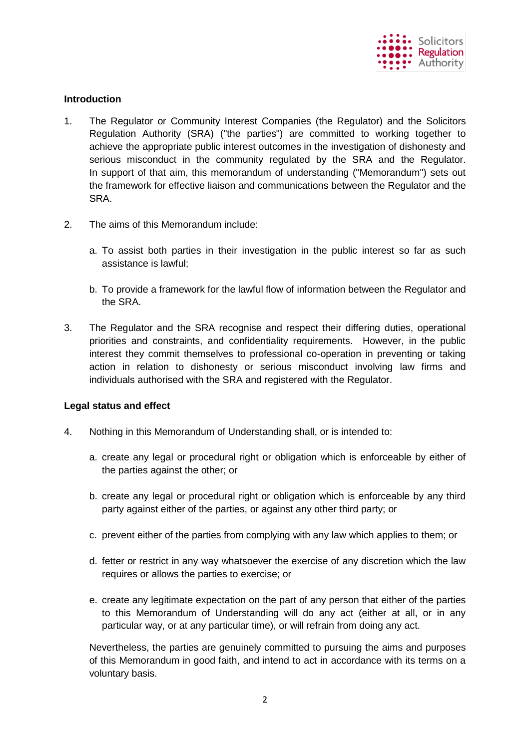

## **Introduction**

- 1. The Regulator or Community Interest Companies (the Regulator) and the Solicitors Regulation Authority (SRA) ("the parties") are committed to working together to achieve the appropriate public interest outcomes in the investigation of dishonesty and serious misconduct in the community regulated by the SRA and the Regulator. In support of that aim, this memorandum of understanding ("Memorandum") sets out the framework for effective liaison and communications between the Regulator and the SRA.
- 2. The aims of this Memorandum include:
	- a. To assist both parties in their investigation in the public interest so far as such assistance is lawful;
	- b. To provide a framework for the lawful flow of information between the Regulator and the SRA.
- 3. The Regulator and the SRA recognise and respect their differing duties, operational priorities and constraints, and confidentiality requirements. However, in the public interest they commit themselves to professional co-operation in preventing or taking action in relation to dishonesty or serious misconduct involving law firms and individuals authorised with the SRA and registered with the Regulator.

## **Legal status and effect**

- 4. Nothing in this Memorandum of Understanding shall, or is intended to:
	- a. create any legal or procedural right or obligation which is enforceable by either of the parties against the other; or
	- b. create any legal or procedural right or obligation which is enforceable by any third party against either of the parties, or against any other third party; or
	- c. prevent either of the parties from complying with any law which applies to them; or
	- d. fetter or restrict in any way whatsoever the exercise of any discretion which the law requires or allows the parties to exercise; or
	- e. create any legitimate expectation on the part of any person that either of the parties to this Memorandum of Understanding will do any act (either at all, or in any particular way, or at any particular time), or will refrain from doing any act.

Nevertheless, the parties are genuinely committed to pursuing the aims and purposes of this Memorandum in good faith, and intend to act in accordance with its terms on a voluntary basis.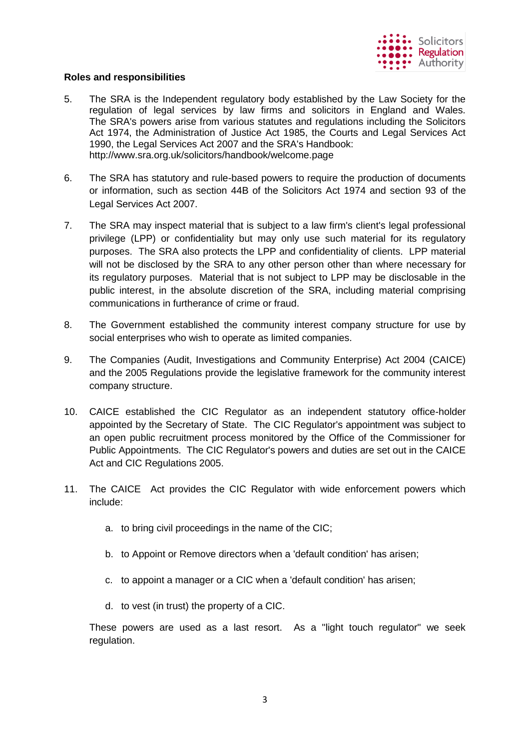

## **Roles and responsibilities**

- 5. The SRA is the Independent regulatory body established by the Law Society for the regulation of legal services by law firms and solicitors in England and Wales. The SRA's powers arise from various statutes and regulations including the Solicitors Act 1974, the Administration of Justice Act 1985, the Courts and Legal Services Act 1990, the Legal Services Act 2007 and the SRA's Handbook: http://www.sra.org.uk/solicitors/handbook/welcome.page
- 6. The SRA has statutory and rule-based powers to require the production of documents or information, such as section 44B of the Solicitors Act 1974 and section 93 of the Legal Services Act 2007.
- 7. The SRA may inspect material that is subject to a law firm's client's legal professional privilege (LPP) or confidentiality but may only use such material for its regulatory purposes. The SRA also protects the LPP and confidentiality of clients. LPP material will not be disclosed by the SRA to any other person other than where necessary for its regulatory purposes. Material that is not subject to LPP may be disclosable in the public interest, in the absolute discretion of the SRA, including material comprising communications in furtherance of crime or fraud.
- 8. The Government established the community interest company structure for use by social enterprises who wish to operate as limited companies.
- 9. The Companies (Audit, Investigations and Community Enterprise) Act 2004 (CAICE) and the 2005 Regulations provide the legislative framework for the community interest company structure.
- 10. CAICE established the CIC Regulator as an independent statutory office-holder appointed by the Secretary of State. The CIC Regulator's appointment was subject to an open public recruitment process monitored by the Office of the Commissioner for Public Appointments. The CIC Regulator's powers and duties are set out in the CAICE Act and CIC Regulations 2005.
- 11. The CAICE Act provides the CIC Regulator with wide enforcement powers which include:
	- a. to bring civil proceedings in the name of the CIC;
	- b. to Appoint or Remove directors when a 'default condition' has arisen;
	- c. to appoint a manager or a CIC when a 'default condition' has arisen;
	- d. to vest (in trust) the property of a CIC.

These powers are used as a last resort. As a "light touch regulator" we seek regulation.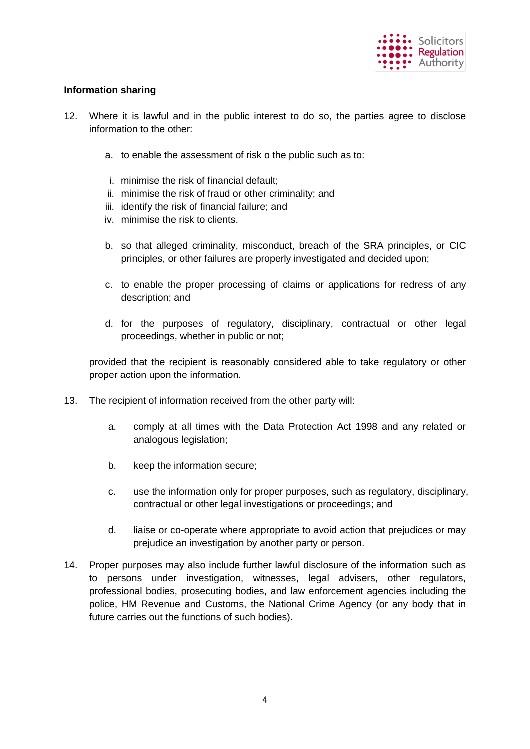

## **Information sharing**

- 12. Where it is lawful and in the public interest to do so, the parties agree to disclose information to the other:
	- a. to enable the assessment of risk o the public such as to:
	- i. minimise the risk of financial default;
	- ii. minimise the risk of fraud or other criminality; and
	- iii. identify the risk of financial failure; and
	- iv. minimise the risk to clients.
	- b. so that alleged criminality, misconduct, breach of the SRA principles, or CIC principles, or other failures are properly investigated and decided upon;
	- c. to enable the proper processing of claims or applications for redress of any description; and
	- d. for the purposes of regulatory, disciplinary, contractual or other legal proceedings, whether in public or not;

provided that the recipient is reasonably considered able to take regulatory or other proper action upon the information.

- 13. The recipient of information received from the other party will:
	- a. comply at all times with the Data Protection Act 1998 and any related or analogous legislation;
	- b. keep the information secure;
	- c. use the information only for proper purposes, such as regulatory, disciplinary, contractual or other legal investigations or proceedings; and
	- d. liaise or co-operate where appropriate to avoid action that prejudices or may prejudice an investigation by another party or person.
- 14. Proper purposes may also include further lawful disclosure of the information such as to persons under investigation, witnesses, legal advisers, other regulators, professional bodies, prosecuting bodies, and law enforcement agencies including the police, HM Revenue and Customs, the National Crime Agency (or any body that in future carries out the functions of such bodies).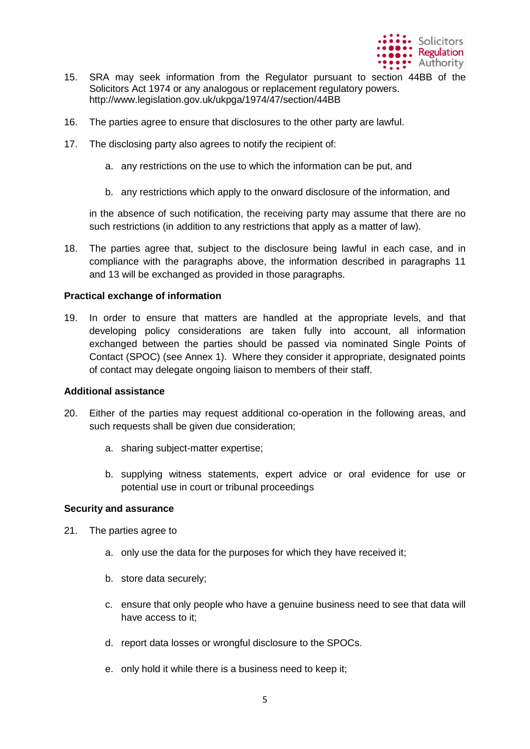

- 15. SRA may seek information from the Regulator pursuant to section 44BB of the Solicitors Act 1974 or any analogous or replacement regulatory powers. http://www.legislation.gov.uk/ukpga/1974/47/section/44BB
- 16. The parties agree to ensure that disclosures to the other party are lawful.
- 17. The disclosing party also agrees to notify the recipient of:
	- a. any restrictions on the use to which the information can be put, and
	- b. any restrictions which apply to the onward disclosure of the information, and

in the absence of such notification, the receiving party may assume that there are no such restrictions (in addition to any restrictions that apply as a matter of law).

18. The parties agree that, subject to the disclosure being lawful in each case, and in compliance with the paragraphs above, the information described in paragraphs 11 and 13 will be exchanged as provided in those paragraphs.

#### **Practical exchange of information**

19. In order to ensure that matters are handled at the appropriate levels, and that developing policy considerations are taken fully into account, all information exchanged between the parties should be passed via nominated Single Points of Contact (SPOC) (see Annex 1). Where they consider it appropriate, designated points of contact may delegate ongoing liaison to members of their staff.

#### **Additional assistance**

- 20. Either of the parties may request additional co-operation in the following areas, and such requests shall be given due consideration;
	- a. sharing subject-matter expertise;
	- b. supplying witness statements, expert advice or oral evidence for use or potential use in court or tribunal proceedings

#### **Security and assurance**

- 21. The parties agree to
	- a. only use the data for the purposes for which they have received it;
	- b. store data securely;
	- c. ensure that only people who have a genuine business need to see that data will have access to it;
	- d. report data losses or wrongful disclosure to the SPOCs.
	- e. only hold it while there is a business need to keep it;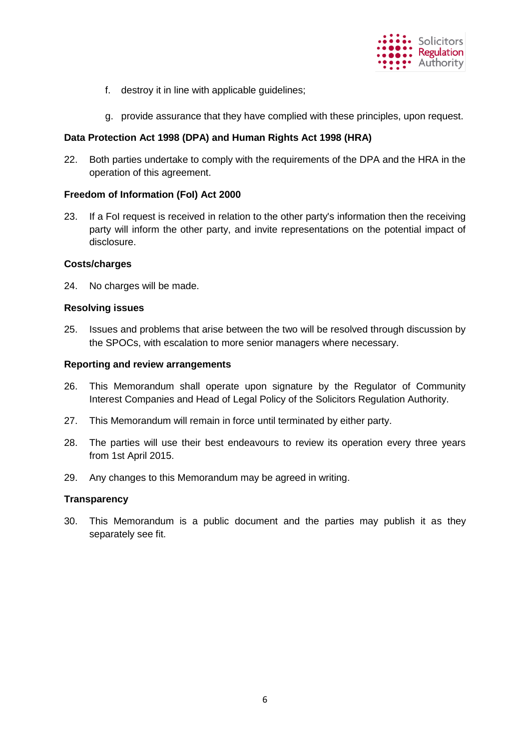

- f. destroy it in line with applicable guidelines;
- g. provide assurance that they have complied with these principles, upon request.

### **Data Protection Act 1998 (DPA) and Human Rights Act 1998 (HRA)**

22. Both parties undertake to comply with the requirements of the DPA and the HRA in the operation of this agreement.

#### **Freedom of Information (FoI) Act 2000**

23. If a FoI request is received in relation to the other party's information then the receiving party will inform the other party, and invite representations on the potential impact of disclosure.

#### **Costs/charges**

24. No charges will be made.

#### **Resolving issues**

25. Issues and problems that arise between the two will be resolved through discussion by the SPOCs, with escalation to more senior managers where necessary.

#### **Reporting and review arrangements**

- 26. This Memorandum shall operate upon signature by the Regulator of Community Interest Companies and Head of Legal Policy of the Solicitors Regulation Authority.
- 27. This Memorandum will remain in force until terminated by either party.
- 28. The parties will use their best endeavours to review its operation every three years from 1st April 2015.
- 29. Any changes to this Memorandum may be agreed in writing.

#### **Transparency**

30. This Memorandum is a public document and the parties may publish it as they separately see fit.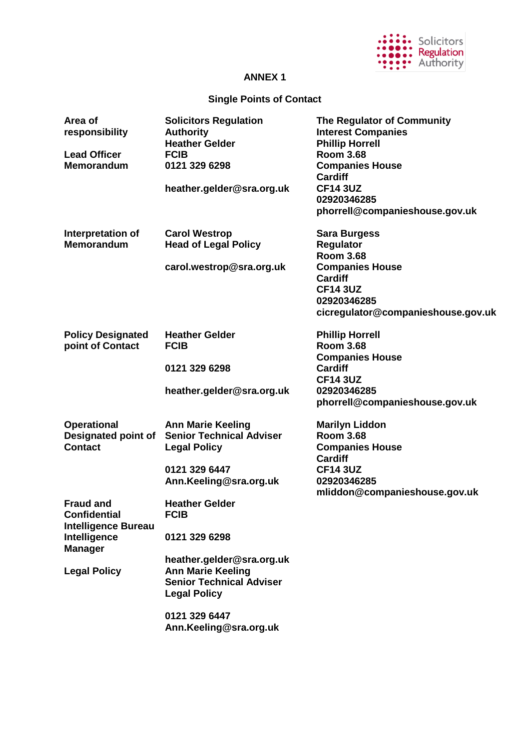

# **ANNEX 1**

# **Single Points of Contact**

| Area of<br>responsibility<br><b>Lead Officer</b><br><b>Memorandum</b>                                                          | <b>Solicitors Regulation</b><br><b>Authority</b><br><b>Heather Gelder</b><br><b>FCIB</b><br>0121 329 6298<br>heather.gelder@sra.org.uk                                                                              | The Regulator of Community<br><b>Interest Companies</b><br><b>Phillip Horrell</b><br><b>Room 3.68</b><br><b>Companies House</b><br><b>Cardiff</b><br><b>CF14 3UZ</b><br>02920346285<br>phorrell@companieshouse.gov.uk |
|--------------------------------------------------------------------------------------------------------------------------------|---------------------------------------------------------------------------------------------------------------------------------------------------------------------------------------------------------------------|-----------------------------------------------------------------------------------------------------------------------------------------------------------------------------------------------------------------------|
| Interpretation of<br><b>Memorandum</b>                                                                                         | <b>Carol Westrop</b><br><b>Head of Legal Policy</b><br>carol.westrop@sra.org.uk                                                                                                                                     | <b>Sara Burgess</b><br>Regulator<br><b>Room 3.68</b><br><b>Companies House</b><br><b>Cardiff</b><br><b>CF14 3UZ</b><br>02920346285<br>cicregulator@companieshouse.gov.uk                                              |
| <b>Policy Designated</b><br>point of Contact                                                                                   | <b>Heather Gelder</b><br><b>FCIB</b><br>0121 329 6298<br>heather.gelder@sra.org.uk                                                                                                                                  | <b>Phillip Horrell</b><br><b>Room 3.68</b><br><b>Companies House</b><br><b>Cardiff</b><br><b>CF14 3UZ</b><br>02920346285<br>phorrell@companieshouse.gov.uk                                                            |
| <b>Operational</b><br><b>Designated point of</b><br><b>Contact</b>                                                             | <b>Ann Marie Keeling</b><br><b>Senior Technical Adviser</b><br><b>Legal Policy</b><br>0121 329 6447<br>Ann.Keeling@sra.org.uk                                                                                       | <b>Marilyn Liddon</b><br><b>Room 3.68</b><br><b>Companies House</b><br><b>Cardiff</b><br><b>CF14 3UZ</b><br>02920346285<br>mliddon@companieshouse.gov.uk                                                              |
| <b>Fraud and</b><br><b>Confidential</b><br><b>Intelligence Bureau</b><br>Intelligence<br><b>Manager</b><br><b>Legal Policy</b> | <b>Heather Gelder</b><br><b>FCIB</b><br>0121 329 6298<br>heather.gelder@sra.org.uk<br><b>Ann Marie Keeling</b><br><b>Senior Technical Adviser</b><br><b>Legal Policy</b><br>0121 329 6447<br>Ann.Keeling@sra.org.uk |                                                                                                                                                                                                                       |